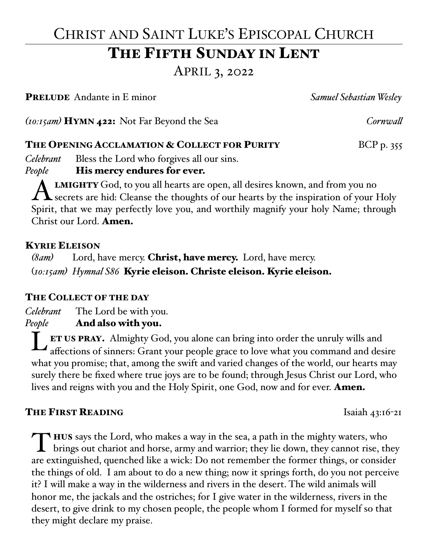# CHRIST AND SAINT LUKE'S EPISCOPAL CHURCH

## THE FIFTH SUNDAY IN LENT

APRIL 3, 2022

PRELUDE Andante in E minor *Samuel Sebastian Wesley*

*(10:15am)* HYMN 422: Not Far Beyond the Sea *Cornwall*

#### THE OPENING ACCLAMATION & COLLECT FOR PURITY BCP p. 355

*Celebrant* Bless the Lord who forgives all our sins.

#### *People* **His mercy endures for ever.**

**ALMIGHTY** God, to you all hearts are open, all desires known, and from you no<br>secrets are hid: Cleanse the thoughts of our hearts by the inspiration of your Holy Spirit, that we may perfectly love you, and worthily magnify your holy Name; through Christ our Lord. Amen.

#### KYRIE ELEISON

*(8am)* Lord, have mercy. Christ, have mercy. Lord, have mercy. (*10:15am) Hymnal S86* Kyrie eleison. Christe eleison. Kyrie eleison.

### THE COLLECT OF THE DAY

*Celebrant* The Lord be with you. *People* And also with you.

L ET US PRAY. Almighty God, you alone can bring into order the unruly wills and affections of sinners: Grant your people grace to love what you command and desire what you promise; that, among the swift and varied changes of the world, our hearts may surely there be fixed where true joys are to be found; through Jesus Christ our Lord, who lives and reigns with you and the Holy Spirit, one God, now and for ever. **Amen.** 

#### **THE FIRST READING** Isaiah  $43:16-21$

T HUS says the Lord, who makes a way in the sea, a path in the mighty waters, who brings out chariot and horse, army and warrior; they lie down, they cannot rise, they are extinguished, quenched like a wick: Do not remember the former things, or consider the things of old. I am about to do a new thing; now it springs forth, do you not perceive it? I will make a way in the wilderness and rivers in the desert. The wild animals will honor me, the jackals and the ostriches; for I give water in the wilderness, rivers in the desert, to give drink to my chosen people, the people whom I formed for myself so that they might declare my praise.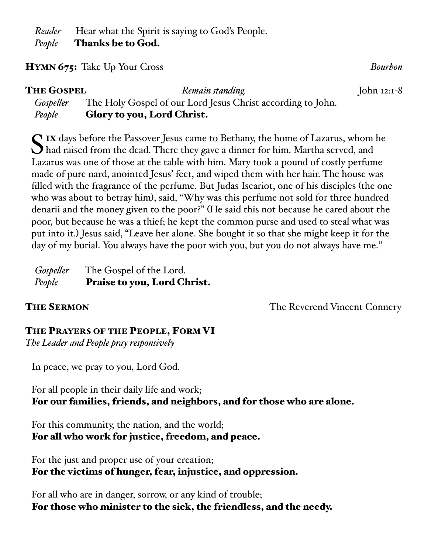*Reader* Hear what the Spirit is saying to God's People. *People* Thanks be to God.

#### HYMN 675: Take Up Your Cross *Bourbon*

| <b>THE GOSPEL</b> | Remain standing.                                            | John $12:1-8$ |
|-------------------|-------------------------------------------------------------|---------------|
| Gospeller         | The Holy Gospel of our Lord Jesus Christ according to John. |               |
| People            | <b>Glory to you, Lord Christ.</b>                           |               |

 $\Gamma$  IX days before the Passover Jesus came to Bethany, the home of Lazarus, whom he had raised from the dead. There they gave a dinner for him. Martha served, and Lazarus was one of those at the table with him. Mary took a pound of costly perfume made of pure nard, anointed Jesus' feet, and wiped them with her hair. The house was filled with the fragrance of the perfume. But Judas Iscariot, one of his disciples (the one who was about to betray him), said, "Why was this perfume not sold for three hundred denarii and the money given to the poor?" (He said this not because he cared about the poor, but because he was a thief; he kept the common purse and used to steal what was put into it.) Jesus said, "Leave her alone. She bought it so that she might keep it for the day of my burial. You always have the poor with you, but you do not always have me."

| Gospeller | The Gospel of the Lord.     |
|-----------|-----------------------------|
| People    | Praise to you, Lord Christ. |

**THE SERMON THE SERMON CONNETY THE Reverend Vincent Connery** 

#### THE PRAYERS OF THE PEOPLE, FORM VI

*The Leader and People pray responsively*

In peace, we pray to you, Lord God.

For all people in their daily life and work; For our families, friends, and neighbors, and for those who are alone.

For this community, the nation, and the world; For all who work for justice, freedom, and peace.

For the just and proper use of your creation; For the victims of hunger, fear, injustice, and oppression.

For all who are in danger, sorrow, or any kind of trouble; For those who minister to the sick, the friendless, and the needy.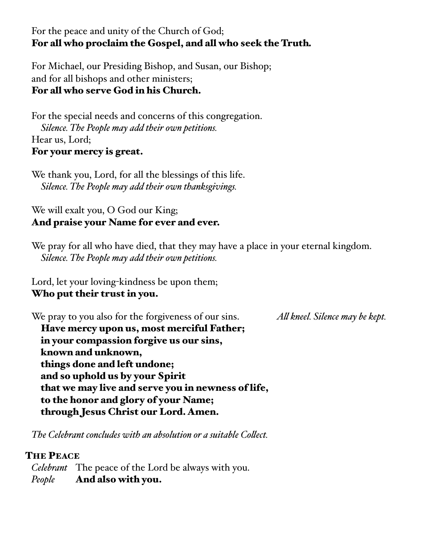### For the peace and unity of the Church of God; For all who proclaim the Gospel, and all who seek the Truth*.*

For Michael, our Presiding Bishop, and Susan, our Bishop; and for all bishops and other ministers; For all who serve God in his Church.

For the special needs and concerns of this congregation. *Silence. The People may add their own petitions.* Hear us, Lord; For your mercy is great.

We thank you, Lord, for all the blessings of this life. *Silence. The People may add their own thanksgivings.*

#### We will exalt you, O God our King; And praise your Name for ever and ever.

We pray for all who have died, that they may have a place in your eternal kingdom. *Silence. The People may add their own petitions.*

Lord, let your loving-kindness be upon them; Who put their trust in you.

We pray to you also for the forgiveness of our sins. *All kneel. Silence may be kept.*  Have mercy upon us, most merciful Father; in your compassion forgive us our sins, known and unknown, things done and left undone; and so uphold us by your Spirit that we may live and serve you in newness of life, to the honor and glory of your Name; through Jesus Christ our Lord. Amen.

*The Celebrant concludes with an absolution or a suitable Collect.*

#### THE PEACE

*Celebrant* The peace of the Lord be always with you. *People* And also with you.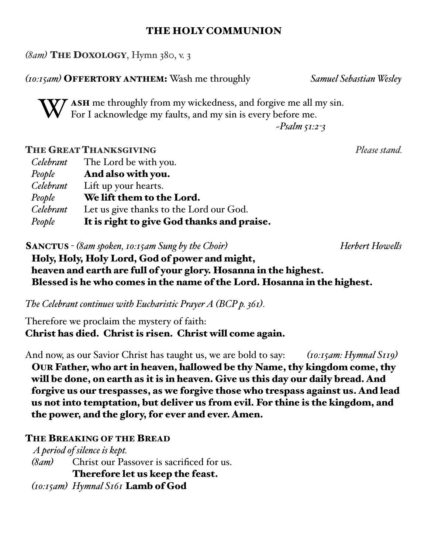#### THE HOLY COMMUNION

*(8am)* THE DOXOLOGY, Hymn 380, v. 3

*(10:15am)* OFFERTORY ANTHEM: Wash me throughly *Samuel Sebastian Wesley*

**T** ASH me throughly from my wickedness, and forgive me all my sin. For I acknowledge my faults, and my sin is every before me.

*~Psalm 51:2-3*

#### **THE GREAT THANKSGIVING** *Please stand.*

| Celebrant        | The Lord be with you.                      |
|------------------|--------------------------------------------|
| People           | And also with you.                         |
| <b>Celebrant</b> | Lift up your hearts.                       |
| People           | We lift them to the Lord.                  |
| <b>Celebrant</b> | Let us give thanks to the Lord our God.    |
| People           | It is right to give God thanks and praise. |

SANCTUS - *(8am spoken, 10:15am Sung by the Choir) Herbert Howells*

Holy, Holy, Holy Lord, God of power and might, heaven and earth are full of your glory. Hosanna in the highest. Blessed is he who comes in the name of the Lord. Hosanna in the highest.

*The Celebrant continues with Eucharistic Prayer A (BCP p. 361).*

Therefore we proclaim the mystery of faith: Christ has died. Christ is risen. Christ will come again.

And now, as our Savior Christ has taught us, we are bold to say: *(10:15am: Hymnal S119)* OUR Father, who art in heaven, hallowed be thy Name, thy kingdom come, thy will be done, on earth as it is in heaven. Give us this day our daily bread. And forgive us our trespasses, as we forgive those who trespass against us. And lead us not into temptation, but deliver us from evil. For thine is the kingdom, and the power, and the glory, for ever and ever. Amen.

#### THE BREAKING OF THE BREAD

 *A period of silence is kept. (8am)* Christ our Passover is sacrificed for us. Therefore let us keep the feast. *(10:15am) Hymnal S161* Lamb of God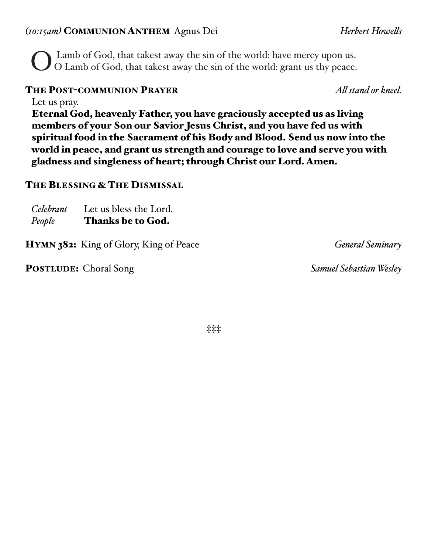#### *(10:15am)* COMMUNION ANTHEM Agnus Dei *Herbert Howells*

O Lamb of God, that takest away the sin of the world: have mercy upon us. O Lamb of God, that takest away the sin of the world: grant us thy peace.

#### THE POST-COMMUNION PRAYER *All stand or kneel.*

Let us pray. Eternal God, heavenly Father, you have graciously accepted us as living members of your Son our Savior Jesus Christ, and you have fed us with spiritual food in the Sacrament of his Body and Blood. Send us now into the world in peace, and grant us strength and courage to love and serve you with gladness and singleness of heart; through Christ our Lord. Amen.

#### THE BLESSING & THE DISMISSAL

| People    | <b>Thanks be to God.</b> |
|-----------|--------------------------|
| Celebrant | Let us bless the Lord.   |

HYMN 382: King of Glory, King of Peace *General Seminary*

POSTLUDE: Choral Song *Samuel Sebastian Wesley*

**‡‡‡**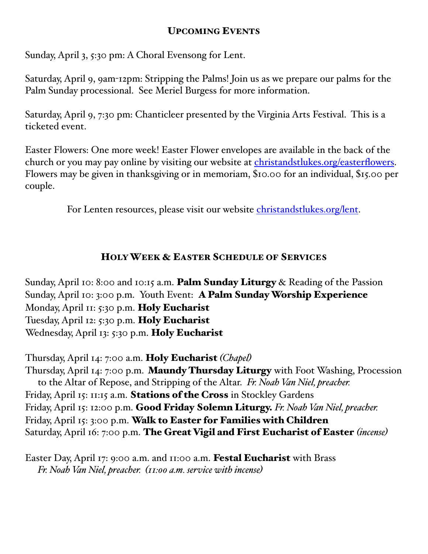#### UPCOMING EVENTS

Sunday, April 3, 5:30 pm: A Choral Evensong for Lent.

Saturday, April 9, 9am-12pm: Stripping the Palms! Join us as we prepare our palms for the Palm Sunday processional. See Meriel Burgess for more information.

Saturday, April 9, 7:30 pm: Chanticleer presented by the Virginia Arts Festival. This is a ticketed event.

Easter Flowers: One more week! Easter Flower envelopes are available in the back of the church or you may pay online by visiting our website at [christandstlukes.org/easterflowers](http://christandstlukes.org/easterflowers). Flowers may be given in thanksgiving or in memoriam, \$10.00 for an individual, \$15.00 per couple.

For Lenten resources, please visit our website [christandstlukes.org/lent.](http://christandstlukes.org/lent)

#### HOLY WEEK & EASTER SCHEDULE OF SERVICES

Sunday, April 10: 8:00 and 10:15 a.m. Palm Sunday Liturgy & Reading of the Passion Sunday, April 10: 3:00 p.m. Youth Event: A Palm Sunday Worship Experience Monday, April II: 5:30 p.m. Holy Eucharist Tuesday, April 12: 5:30 p.m. Holy Eucharist Wednesday, April 13: 5:30 p.m. Holy Eucharist

Thursday, April 14: 7:00 a.m. Holy Eucharist *(Chapel)* Thursday, April 14: 7:00 p.m. Maundy Thursday Liturgy with Foot Washing, Procession to the Altar of Repose, and Stripping of the Altar. *Fr. Noah Van Niel, preacher.* Friday, April 15: 11:15 a.m. Stations of the Cross in Stockley Gardens Friday, April 15: 12:00 p.m. Good Friday Solemn Liturgy. *Fr. Noah Van Niel, preacher.* Friday, April 15: 3:00 p.m. Walk to Easter for Families with Children Saturday, April 16: 7:00 p.m. The Great Vigil and First Eucharist of Easter *(incense)*

Easter Day, April 17: 9:00 a.m. and 11:00 a.m. Festal Eucharist with Brass *Fr. Noah Van Niel, preacher. (11:00 a.m. service with incense)*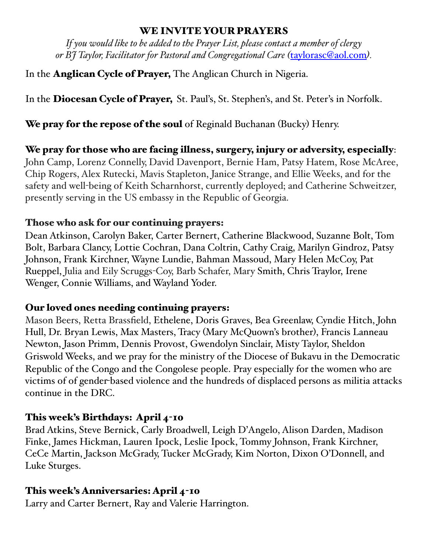#### WE INVITE YOUR PRAYERS

*If you would like to be added to the Prayer List, please contact a member of clergy or BJ Taylor, Facilitator for Pastoral and Congregational Care (*[taylorasc@aol.com](mailto:taylorasc@aol.com)*).*

In the Anglican Cycle of Prayer, The Anglican Church in Nigeria.

In the Diocesan Cycle of Prayer, St. Paul's, St. Stephen's, and St. Peter's in Norfolk.

We pray for the repose of the soul of Reginald Buchanan (Bucky) Henry.

We pray for those who are facing illness, surgery, injury or adversity, especially: John Camp, Lorenz Connelly, David Davenport, Bernie Ham, Patsy Hatem, Rose McAree, Chip Rogers, Alex Rutecki, Mavis Stapleton, Janice Strange, and Ellie Weeks, and for the safety and well-being of Keith Scharnhorst, currently deployed; and Catherine Schweitzer, presently serving in the US embassy in the Republic of Georgia.

#### Those who ask for our continuing prayers:

Dean Atkinson, Carolyn Baker, Carter Bernert, Catherine Blackwood, Suzanne Bolt, Tom Bolt, Barbara Clancy, Lottie Cochran, Dana Coltrin, Cathy Craig, Marilyn Gindroz, Patsy Johnson, Frank Kirchner, Wayne Lundie, Bahman Massoud, Mary Helen McCoy, Pat Rueppel, Julia and Eily Scruggs-Coy, Barb Schafer, Mary Smith, Chris Traylor, Irene Wenger, Connie Williams, and Wayland Yoder.

### Our loved ones needing continuing prayers:

Mason Beers, Retta Brassfield, Ethelene, Doris Graves, Bea Greenlaw, Cyndie Hitch, John Hull, Dr. Bryan Lewis, Max Masters, Tracy (Mary McQuown's brother), Francis Lanneau Newton, Jason Primm, Dennis Provost, Gwendolyn Sinclair, Misty Taylor, Sheldon Griswold Weeks, and we pray for the ministry of the Diocese of Bukavu in the Democratic Republic of the Congo and the Congolese people. Pray especially for the women who are victims of of gender-based violence and the hundreds of displaced persons as militia attacks continue in the DRC.

### This week's Birthdays: April 4-10

Brad Atkins, Steve Bernick, Carly Broadwell, Leigh D'Angelo, Alison Darden, Madison Finke, James Hickman, Lauren Ipock, Leslie Ipock, Tommy Johnson, Frank Kirchner, CeCe Martin, Jackson McGrady, Tucker McGrady, Kim Norton, Dixon O'Donnell, and Luke Sturges.

### This week's Anniversaries: April 4-10

Larry and Carter Bernert, Ray and Valerie Harrington.